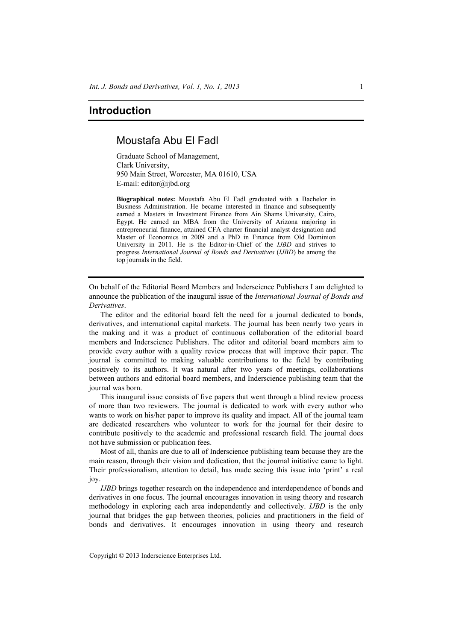## **Introduction**

## Moustafa Abu El Fadl

Graduate School of Management, Clark University, 950 Main Street, Worcester, MA 01610, USA E-mail: editor@ijbd.org

**Biographical notes:** Moustafa Abu El Fadl graduated with a Bachelor in Business Administration. He became interested in finance and subsequently earned a Masters in Investment Finance from Ain Shams University, Cairo, Egypt. He earned an MBA from the University of Arizona majoring in entrepreneurial finance, attained CFA charter financial analyst designation and Master of Economics in 2009 and a PhD in Finance from Old Dominion University in 2011. He is the Editor-in-Chief of the *IJBD* and strives to progress *International Journal of Bonds and Derivatives* (*IJBD*) be among the top journals in the field.

On behalf of the Editorial Board Members and Inderscience Publishers I am delighted to announce the publication of the inaugural issue of the *International Journal of Bonds and Derivatives*.

The editor and the editorial board felt the need for a journal dedicated to bonds, derivatives, and international capital markets. The journal has been nearly two years in the making and it was a product of continuous collaboration of the editorial board members and Inderscience Publishers. The editor and editorial board members aim to provide every author with a quality review process that will improve their paper. The journal is committed to making valuable contributions to the field by contributing positively to its authors. It was natural after two years of meetings, collaborations between authors and editorial board members, and Inderscience publishing team that the journal was born.

This inaugural issue consists of five papers that went through a blind review process of more than two reviewers. The journal is dedicated to work with every author who wants to work on his/her paper to improve its quality and impact. All of the journal team are dedicated researchers who volunteer to work for the journal for their desire to contribute positively to the academic and professional research field. The journal does not have submission or publication fees.

Most of all, thanks are due to all of Inderscience publishing team because they are the main reason, through their vision and dedication, that the journal initiative came to light. Their professionalism, attention to detail, has made seeing this issue into 'print' a real joy.

*IJBD* brings together research on the independence and interdependence of bonds and derivatives in one focus. The journal encourages innovation in using theory and research methodology in exploring each area independently and collectively. *IJBD* is the only journal that bridges the gap between theories, policies and practitioners in the field of bonds and derivatives. It encourages innovation in using theory and research